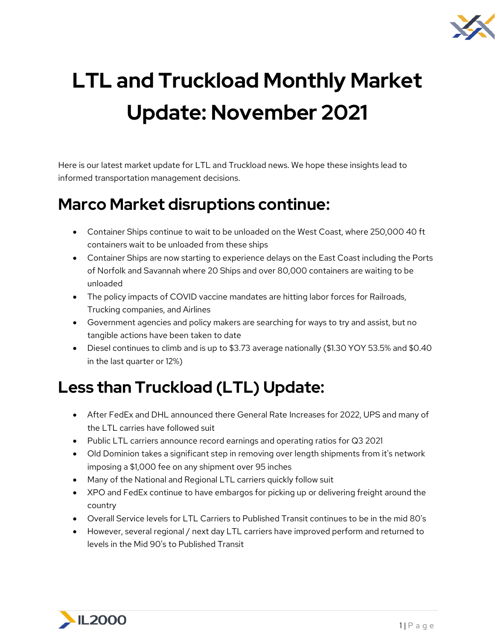

# **LTL and Truckload Monthly Market Update: November 2021**

Here is our latest market update for LTL and Truckload news. We hope these insights lead to informed transportation management decisions.

#### **Marco Market disruptions continue:**

- Container Ships continue to wait to be unloaded on the West Coast, where 250,000 40 ft containers wait to be unloaded from these ships
- Container Ships are now starting to experience delays on the East Coast including the Ports of Norfolk and Savannah where 20 Ships and over 80,000 containers are waiting to be unloaded
- The policy impacts of COVID vaccine mandates are hitting labor forces for Railroads, Trucking companies, and Airlines
- Government agencies and policy makers are searching for ways to try and assist, but no tangible actions have been taken to date
- Diesel continues to climb and is up to \$3.73 average nationally (\$1.30 YOY 53.5% and \$0.40 in the last quarter or 12%)

# **Less than Truckload (LTL) Update:**

- After FedEx and DHL announced there General Rate Increases for 2022, UPS and many of the LTL carries have followed suit
- Public LTL carriers announce record earnings and operating ratios for Q3 2021
- Old Dominion takes a significant step in removing over length shipments from it's network imposing a \$1,000 fee on any shipment over 95 inches
- Many of the National and Regional LTL carriers quickly follow suit
- XPO and FedEx continue to have embargos for picking up or delivering freight around the country
- Overall Service levels for LTL Carriers to Published Transit continues to be in the mid 80's
- However, several regional / next day LTL carriers have improved perform and returned to levels in the Mid 90's to Published Transit

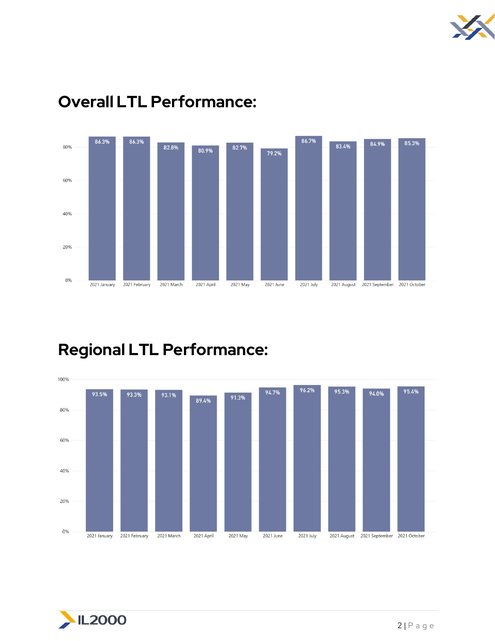



#### **Overall LTL Performance:**

# **Regional LTL Performance:**



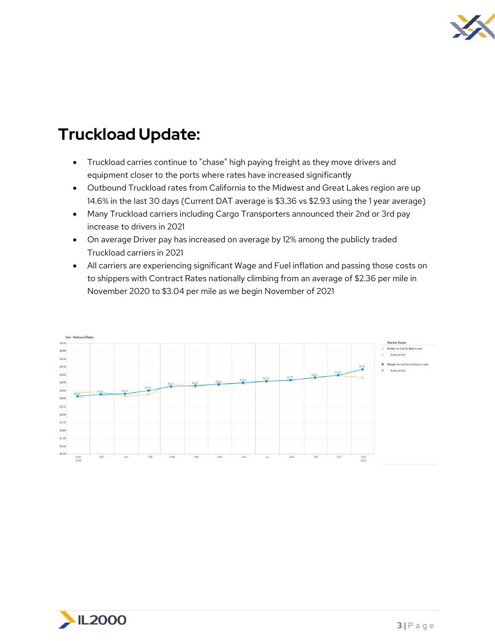

## **Truckload Update:**

- Truckload carries continue to "chase" high paying freight as they move drivers and equipment closer to the ports where rates have increased significantly
- Outbound Truckload rates from California to the Midwest and Great Lakes region are up 14.6% in the last 30 days (Current DAT average is \$3.36 vs \$2.93 using the 1 year average)
- Many Truckload carriers including Cargo Transporters announced their 2nd or 3rd pay increase to drivers in 2021
- On average Driver pay has increased on average by 12% among the publicly traded Truckload carriers in 2021
- All carriers are experiencing significant Wage and Fuel inflation and passing those costs on to shippers with Contract Rates nationally climbing from an average of \$2.36 per mile in November 2020 to \$3.04 per mile as we begin November of 2021



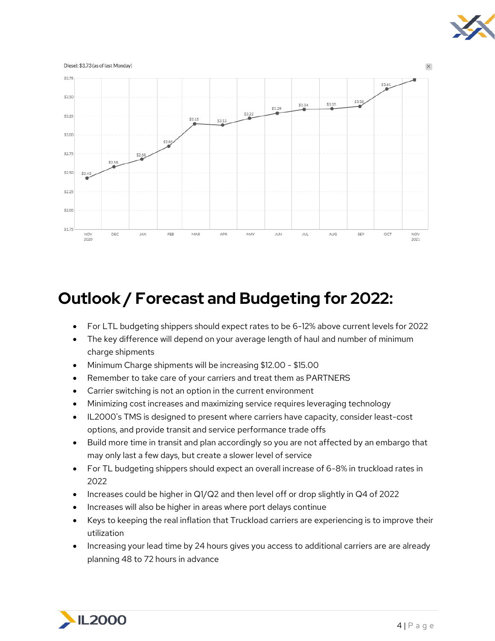



## **Outlook / Forecast and Budgeting for 2022:**

- For LTL budgeting shippers should expect rates to be 6-12% above current levels for 2022
- The key difference will depend on your average length of haul and number of minimum charge shipments
- Minimum Charge shipments will be increasing \$12.00 \$15.00
- Remember to take care of your carriers and treat them as PARTNERS
- Carrier switching is not an option in the current environment
- Minimizing cost increases and maximizing service requires leveraging technology
- IL2000's TMS is designed to present where carriers have capacity, consider least-cost options, and provide transit and service performance trade offs
- Build more time in transit and plan accordingly so you are not affected by an embargo that may only last a few days, but create a slower level of service
- For TL budgeting shippers should expect an overall increase of 6-8% in truckload rates in 2022
- Increases could be higher in Q1/Q2 and then level off or drop slightly in Q4 of 2022
- Increases will also be higher in areas where port delays continue
- Keys to keeping the real inflation that Truckload carriers are experiencing is to improve their utilization
- Increasing your lead time by 24 hours gives you access to additional carriers are are already planning 48 to 72 hours in advance

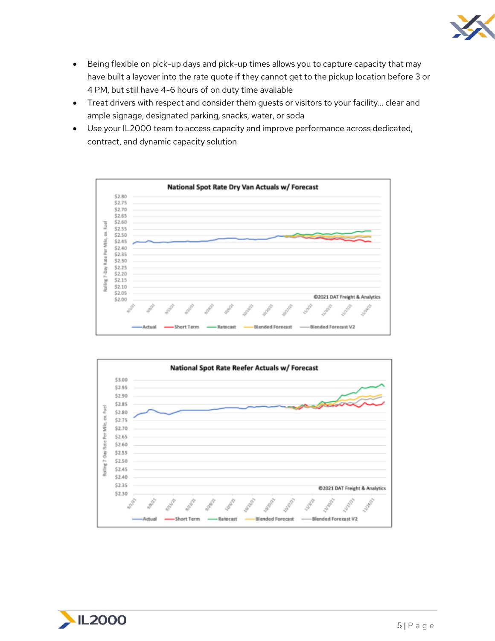

- Being flexible on pick-up days and pick-up times allows you to capture capacity that may have built a layover into the rate quote if they cannot get to the pickup location before 3 or 4 PM, but still have 4-6 hours of on duty time available
- Treat drivers with respect and consider them guests or visitors to your facility... clear and ample signage, designated parking, snacks, water, or soda
- Use your IL2000 team to access capacity and improve performance across dedicated, contract, and dynamic capacity solution